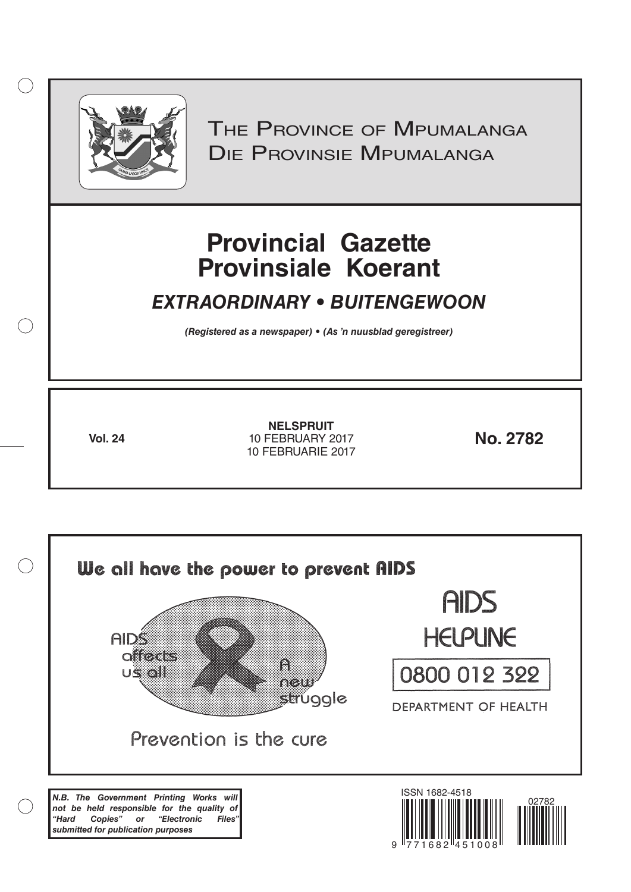

 $( )$ 

THE PROVINCE OF MPUMALANGA Die Provinsie Mpumalanga

# **Provincial Gazette Provinsiale Koerant**

# *EXTRAORDINARY • BUITENGEWOON*

*(Registered as a newspaper) • (As 'n nuusblad geregistreer)*

**Vol. 24 No. 2782** 10 FEBRUARY 2017 **NELSPRUIT** 10 FEBRUARIE 2017

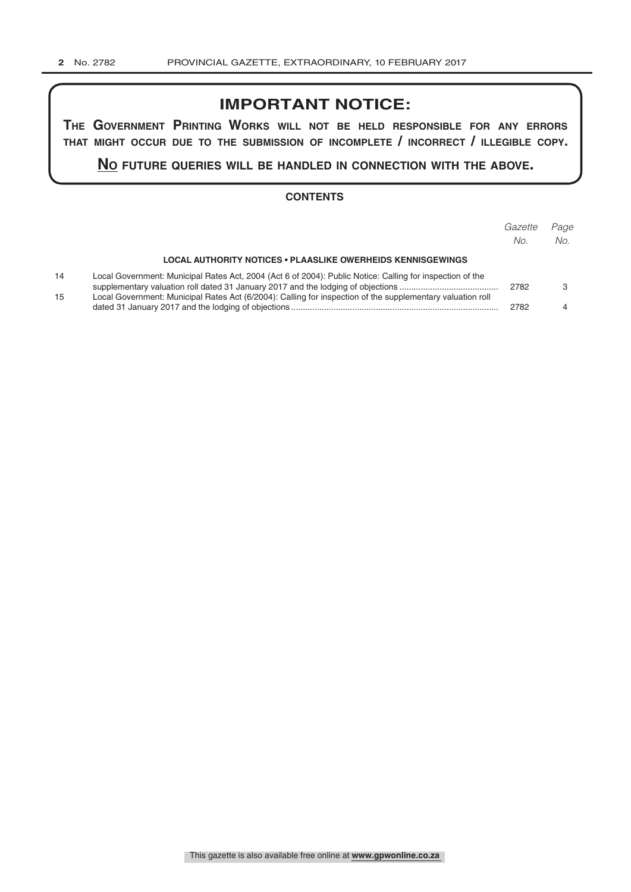## **IMPORTANT NOTICE:**

**The GovernmenT PrinTinG Works Will noT be held resPonsible for any errors ThaT miGhT occur due To The submission of incomPleTe / incorrecT / illeGible coPy.**

**no fuTure queries Will be handled in connecTion WiTh The above.**

#### **CONTENTS**

|    |                                                                                                            | Gazette<br>No. | Page<br>No. |
|----|------------------------------------------------------------------------------------------------------------|----------------|-------------|
|    | <b>LOCAL AUTHORITY NOTICES • PLAASLIKE OWERHEIDS KENNISGEWINGS</b>                                         |                |             |
| 14 | Local Government: Municipal Rates Act, 2004 (Act 6 of 2004): Public Notice: Calling for inspection of the  | 2782           |             |
| 15 | Local Government: Municipal Rates Act (6/2004): Calling for inspection of the supplementary valuation roll | 2782           |             |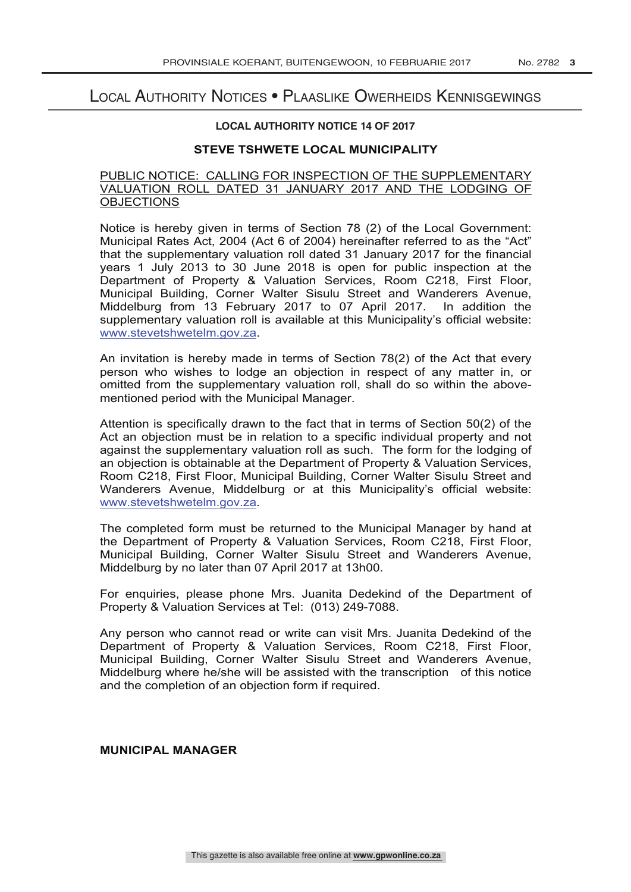## Local Authority Notices • Plaaslike Owerheids Kennisgewings

#### **LOCAL AUTHORITY NOTICE 14 OF 2017**

#### **STEVE TSHWETE LOCAL MUNICIPALITY**

#### PUBLIC NOTICE: CALLING FOR INSPECTION OF THE SUPPLEMENTARY VALUATION ROLL DATED 31 JANUARY 2017 AND THE LODGING OF **OBJECTIONS**

Notice is hereby given in terms of Section 78 (2) of the Local Government: Municipal Rates Act, 2004 (Act 6 of 2004) hereinafter referred to as the "Act" that the supplementary valuation roll dated 31 January 2017 for the financial years 1 July 2013 to 30 June 2018 is open for public inspection at the Department of Property & Valuation Services, Room C218, First Floor, Municipal Building, Corner Walter Sisulu Street and Wanderers Avenue, Middelburg from 13 February 2017 to 07 April 2017. In addition the supplementary valuation roll is available at this Municipality's official website: www.stevetshwetelm.gov.za.

An invitation is hereby made in terms of Section 78(2) of the Act that every person who wishes to lodge an objection in respect of any matter in, or omitted from the supplementary valuation roll, shall do so within the abovementioned period with the Municipal Manager.

Attention is specifically drawn to the fact that in terms of Section 50(2) of the Act an objection must be in relation to a specific individual property and not against the supplementary valuation roll as such. The form for the lodging of an objection is obtainable at the Department of Property & Valuation Services, Room C218, First Floor, Municipal Building, Corner Walter Sisulu Street and Wanderers Avenue, Middelburg or at this Municipality's official website: www.stevetshwetelm.gov.za.

The completed form must be returned to the Municipal Manager by hand at the Department of Property & Valuation Services, Room C218, First Floor, Municipal Building, Corner Walter Sisulu Street and Wanderers Avenue, Middelburg by no later than 07 April 2017 at 13h00.

For enquiries, please phone Mrs. Juanita Dedekind of the Department of Property & Valuation Services at Tel: (013) 249-7088.

Any person who cannot read or write can visit Mrs. Juanita Dedekind of the Department of Property & Valuation Services, Room C218, First Floor, Municipal Building, Corner Walter Sisulu Street and Wanderers Avenue, Middelburg where he/she will be assisted with the transcription of this notice and the completion of an objection form if required.

**MUNICIPAL MANAGER**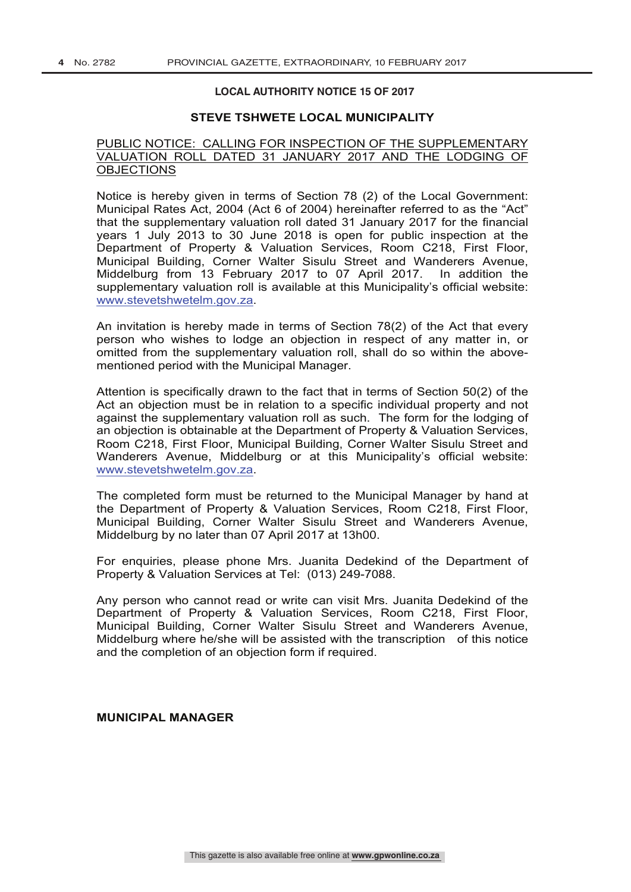#### **LOCAL AUTHORITY NOTICE 15 OF 2017**

#### **STEVE TSHWETE LOCAL MUNICIPALITY**

#### PUBLIC NOTICE: CALLING FOR INSPECTION OF THE SUPPLEMENTARY VALUATION ROLL DATED 31 JANUARY 2017 AND THE LODGING OF OBJECTIONS

Notice is hereby given in terms of Section 78 (2) of the Local Government: Municipal Rates Act, 2004 (Act 6 of 2004) hereinafter referred to as the "Act" that the supplementary valuation roll dated 31 January 2017 for the financial years 1 July 2013 to 30 June 2018 is open for public inspection at the Department of Property & Valuation Services, Room C218, First Floor, Municipal Building, Corner Walter Sisulu Street and Wanderers Avenue, Middelburg from 13 February 2017 to 07 April 2017. In addition the supplementary valuation roll is available at this Municipality's official website: www.stevetshwetelm.gov.za.

An invitation is hereby made in terms of Section 78(2) of the Act that every person who wishes to lodge an objection in respect of any matter in, or omitted from the supplementary valuation roll, shall do so within the abovementioned period with the Municipal Manager.

Attention is specifically drawn to the fact that in terms of Section 50(2) of the Act an objection must be in relation to a specific individual property and not against the supplementary valuation roll as such. The form for the lodging of an objection is obtainable at the Department of Property & Valuation Services, Room C218, First Floor, Municipal Building, Corner Walter Sisulu Street and Wanderers Avenue, Middelburg or at this Municipality's official website: www.stevetshwetelm.gov.za.

The completed form must be returned to the Municipal Manager by hand at the Department of Property & Valuation Services, Room C218, First Floor, Municipal Building, Corner Walter Sisulu Street and Wanderers Avenue, Middelburg by no later than 07 April 2017 at 13h00.

For enquiries, please phone Mrs. Juanita Dedekind of the Department of Property & Valuation Services at Tel: (013) 249-7088.

Any person who cannot read or write can visit Mrs. Juanita Dedekind of the Department of Property & Valuation Services, Room C218, First Floor, Municipal Building, Corner Walter Sisulu Street and Wanderers Avenue, Middelburg where he/she will be assisted with the transcription of this notice and the completion of an objection form if required.

**MUNICIPAL MANAGER**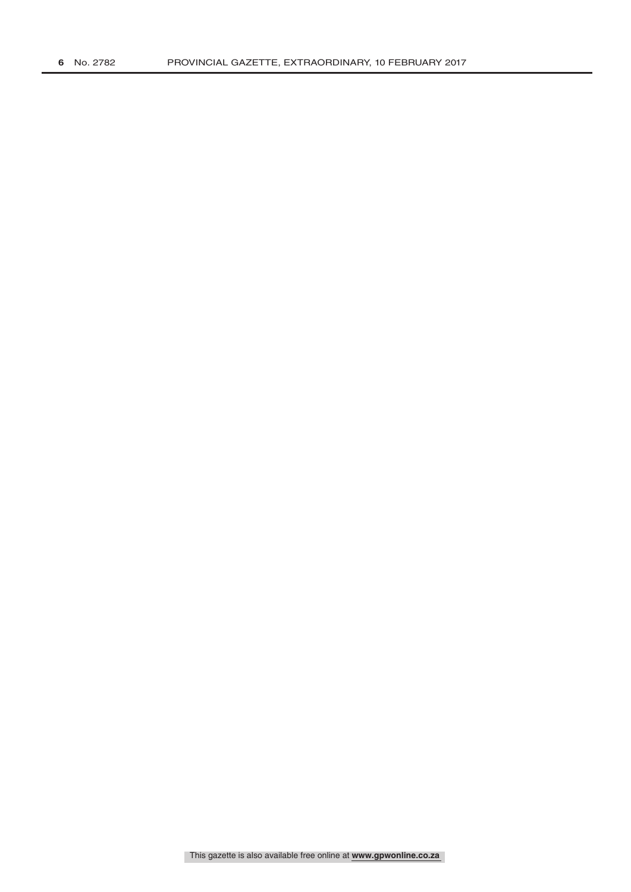This gazette is also available free online at **www.gpwonline.co.za**